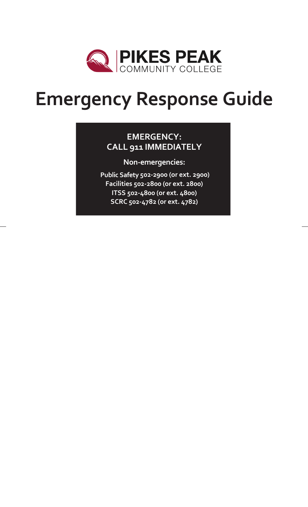

# **Emergency Response Guide**

### **EMERGENCY: CALL 911 IMMEDIATELY**

**Non-emergencies:**

**Public Safety 502-2900 (or ext. 2900) Facilities 502-2800 (or ext. 2800) ITSS 502-4800 (or ext. 4800) SCRC 502-4782 (or ext. 4782)**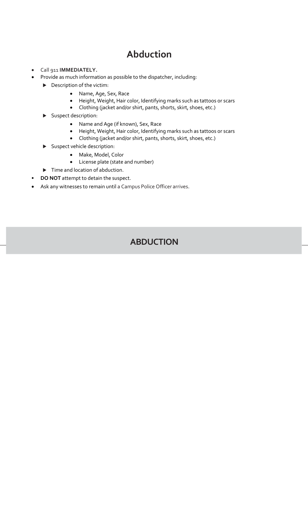# **Abduction**

- Call 911 **IMMEDIATELY.**
- Provide as much information as possible to the dispatcher, including:
	- Description of the victim:
		- Name, Age, Sex, Race
		- Height, Weight, Hair color, Identifying marks such as tattoos or scars
		- Clothing (jacket and/or shirt, pants, shorts, skirt, shoes, etc.)
	- Suspect description:
		- Name and Age (if known), Sex, Race
		- Height, Weight, Hair color, Identifying marks such as tattoos or scars
		- Clothing (jacket and/or shirt, pants, shorts, skirt, shoes, etc.)
	- Suspect vehicle description:
		- Make, Model, Color
		- License plate (state and number)
	- $\blacktriangleright$  Time and location of abduction.
- **DO NOT** attempt to detain the suspect.
- Ask any witnesses to remain until a Campus Police Officer arrives.

### **ABDUCTION**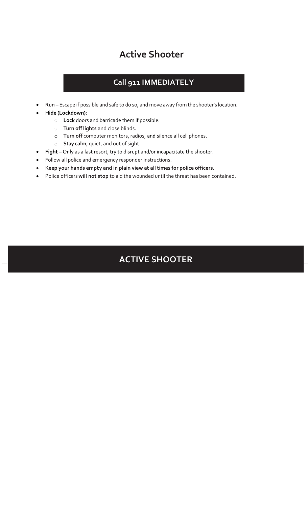# **Active Shooter**

### **Call 911 IMMEDIATELY**

- **Run** Escape if possible and safe to do so, and move away from the shooter's location.
- **Hide (Lockdown)**:
	- o **Lock** doors and barricade them if possible.
	- o **Turn off lights** and close blinds.
	- o **Turn off** computer monitors, radios, and silence all cell phones.
	- o **Stay calm**, quiet, and out of sight.
- **Fight** Only as a last resort, try to disrupt and/or incapacitate the shooter.
- Follow all police and emergency responder instructions.
- **Keep your hands empty and in plain view at all times for police officers.**
- Police officers **will not stop** to aid the wounded until the threat has been contained.

# **ACTIVE SHOOTER**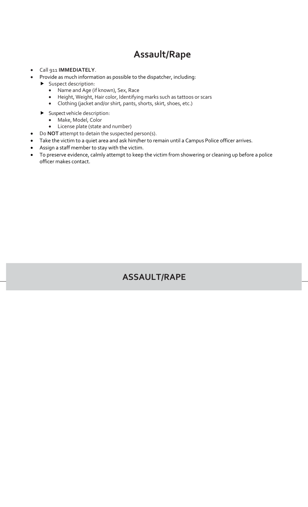# **Assault/Rape**

- Call 911 **IMMEDIATELY**.
- Provide as much information as possible to the dispatcher, including:
	- Suspect description:
		- Name and Age (if known), Sex, Race
		- Height, Weight, Hair color, Identifying marks such as tattoos or scars
		- Clothing (jacket and/or shirt, pants, shorts, skirt, shoes, etc.)
	- Suspect vehicle description:
		- Make, Model, Color
		- License plate (state and number)
- Do **NOT** attempt to detain the suspected person(s).
- Take the victim to a quiet area and ask him/her to remain until a Campus Police officer arrives.
- Assign a staff member to stay with the victim.
- To preserve evidence, calmly attempt to keep the victim from showering or cleaning up before a police officer makes contact.

### **ASSAULT/RAPE**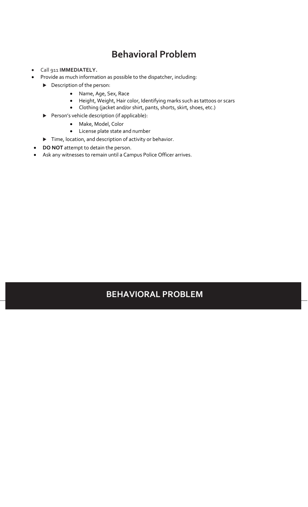# **Behavioral Problem**

- Call 911 **IMMEDIATELY.**
- Provide as much information as possible to the dispatcher, including:
	- Description of the person:
		- Name, Age, Sex, Race
		- Height, Weight, Hair color, Identifying marks such as tattoos or scars
		- Clothing (jacket and/or shirt, pants, shorts, skirt, shoes, etc.)
	- Person's vehicle description (if applicable):
		- Make, Model, Color
		- License plate state and number
	- $\blacktriangleright$  Time, location, and description of activity or behavior.
- **DO NOT** attempt to detain the person.
- Ask any witnesses to remain until a Campus Police Officer arrives.

### **BEHAVIORAL PROBLEM**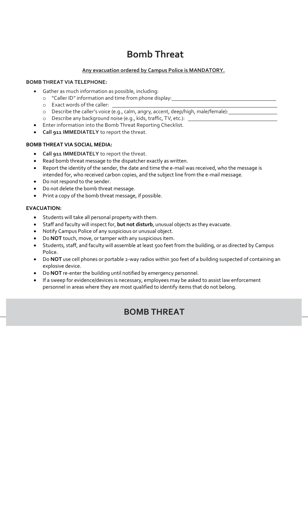# **Bomb Threat**

#### **Any evacuation ordered by Campus Police is MANDATORY.**

#### **BOMB THREAT VIA TELEPHONE:**

- Gather as much information as possible, including:
	- o "Caller ID" information and time from phone display:
	- o Exact words of the caller:
	- o Describe the caller's voice (e.g., calm, angry, accent, deep/high, male/female):
	- o Describe any background noise (e.g., kids, traffic, TV, etc.):
- Enter information into the Bomb Threat Reporting Checklist.
- **Call 911 IMMEDIATELY** to report the threat.

#### **BOMB THREAT VIA SOCIAL MEDIA:**

- **Call 911 IMMEDIATELY** to report the threat.
- Read bomb threat message to the dispatcher exactly as written.
- Report the identity of the sender, the date and time the e-mail was received, who the message is intended for, who received carbon copies, and the subject line from the e-mail message.
- Do not respond to the sender.
- Do not delete the bomb threat message.
- Print a copy of the bomb threat message, if possible.

#### **EVACUATION:**

- Students will take all personal property with them.
- Staff and faculty will inspect for, **but not disturb**, unusual objects as they evacuate.
- Notify Campus Police of any suspicious or unusual object.
- Do **NOT** touch, move, or tamper with any suspicious item.
- Students, staff, and faculty will assemble at least 500 feet from the building, or as directed by Campus Police.
- Do **NOT** use cell phones or portable 2-way radios within 300 feet of a building suspected of containing an explosive device.
- Do **NOT** re-enter the building until notified by emergency personnel.
- If a sweep for evidence/devices is necessary, employees may be asked to assist law enforcement personnel in areas where they are most qualified to identify items that do not belong.

### **BOMB THREAT**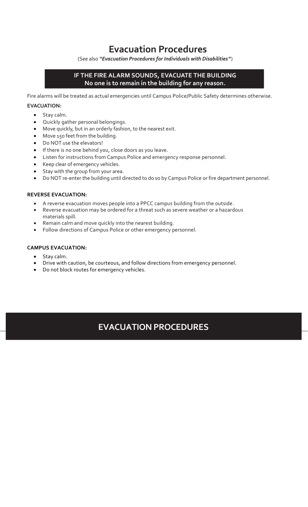### **Evacuation Procedures**

(See also *"Evacuation Procedures for Individuals with Disabilities"*)

#### **IF THE FIRE ALARM SOUNDS, EVACUATE THE BUILDING No one is to remain in the building for any reason.**

Fire alarms will be treated as actual emergencies until Campus Police/Public Safety determines otherwise. **EVACUATION:**

### • Stay calm.

- Quickly gather personal belongings.
- Move quickly, but in an orderly fashion, to the nearest exit.
- Move 150 feet from the building.
- Do NOT use the elevators!
- If there is no one behind you, close doors as you leave.
- Listen for instructions from Campus Police and emergency response personnel.
- Keep clear of emergency vehicles.
- Stay with the group from your area.
- Do NOT re-enter the building until directed to do so by Campus Police or fire department personnel.

#### **REVERSE EVACUATION:**

- A reverse evacuation moves people into a PPCC campus building from the outside.
- Reverse evacuation may be ordered for a threat such as severe weather or a hazardous materials spill.
- Remain calm and move quickly into the nearest building.
- Follow directions of Campus Police or other emergency personnel.

#### **CAMPUS EVACUATION:**

- 
- Stay calm.<br>• Drive with Drive with caution, be courteous, and follow directions from emergency personnel.
- Do not block routes for emergency vehicles.

### **EVACUATION PROCEDURES**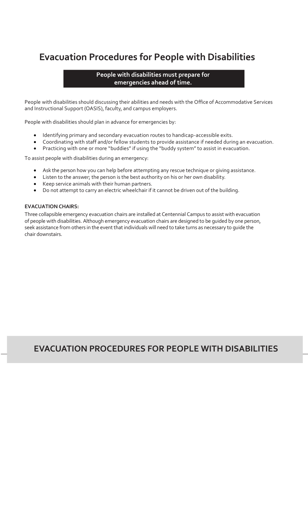## **Evacuation Procedures for People with Disabilities**

#### **People with disabilities must prepare for emergencies ahead of time.**

People with disabilities should discussing their abilities and needs with the Office of Accommodative Services and Instructional Support (OASIS), faculty, and campus employers.

People with disabilities should plan in advance for emergencies by:

- Identifying primary and secondary evacuation routes to handicap-accessible exits.
- Coordinating with staff and/or fellow students to provide assistance if needed during an evacuation.
- Practicing with one or more "buddies" if using the "buddy system" to assist in evacuation.

To assist people with disabilities during an emergency:

- Ask the person how you can help before attempting any rescue technique or giving assistance.
- Listen to the answer; the person is the best authority on his or her own disability.
- Keep service animals with their human partners.
- Do not attempt to carry an electric wheelchair if it cannot be driven out of the building.

#### **EVACUATION CHAIRS:**

Three collapsible emergency evacuation chairs are installed at Centennial Campus to assist with evacuation of people with disabilities. Although emergency evacuation chairs are designed to be guided by one person, seek assistance from others in the event that individuals will need to take turns as necessary to guide the chair downstairs.

### **EVACUATION PROCEDURES FOR PEOPLE WITH DISABILITIES**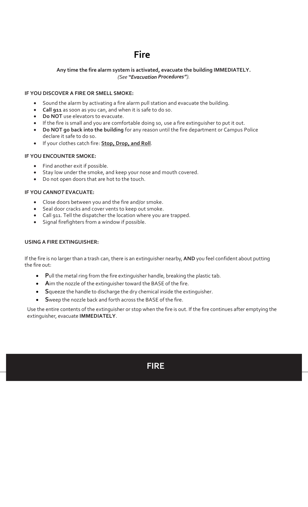# **Fire**

#### **Any time the fire alarm system is activated, evacuate the building IMMEDIATELY.** *(See "Evacuation Procedures").*

#### **IF YOU DISCOVER A FIRE OR SMELL SMOKE:**

- Sound the alarm by activating a fire alarm pull station and evacuate the building.
- **Call 911** as soon as you can, and when it is safe to do so.
- **Do NOT** use elevators to evacuate.
- If the fire is small and you are comfortable doing so, use a fire extinguisher to put it out.
- **Do NOT go back into the building** for any reason until the fire department or Campus Police declare it safe to do so.
- If your clothes catch fire: **Stop, Drop, and Roll**.

#### **IF YOU ENCOUNTER SMOKE:**

- Find another exit if possible.
- Stay low under the smoke, and keep your nose and mouth covered.
- Do not open doors that are hot to the touch.

#### **IF YOU** *CANNOT* **EVACUATE:**

- Close doors between you and the fire and/or smoke.
- Seal door cracks and cover vents to keep out smoke.
- Call 911. Tell the dispatcher the location where you are trapped.
- Signal firefighters from a window if possible.

#### **USING A FIRE EXTINGUISHER:**

If the fire is no larger than a trash can, there is an extinguisher nearby, **AND** you feel confident about putting the fire out:

- **P**ull the metal ring from the fire extinguisher handle, breaking the plastic tab.
- **A**im the nozzle of the extinguisher toward the BASE of the fire.
- **S**queeze the handle to discharge the dry chemical inside the extinguisher.
- **S**weep the nozzle back and forth across the BASE of the fire.

Use the entire contents of the extinguisher or stop when the fire is out. If the fire continues after emptying the extinguisher, evacuate **IMMEDIATELY**.

### **FIRE**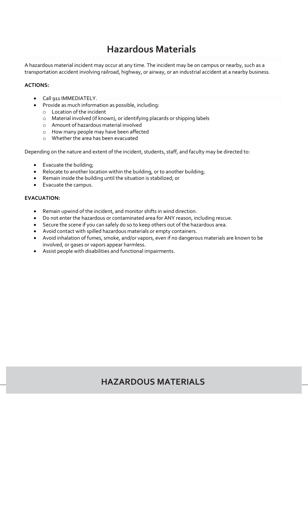# **Hazardous Materials**

A hazardous material incident may occur at any time. The incident may be on campus or nearby, such as a transportation accident involving railroad, highway, or airway, or an industrial accident at a nearby business.

#### **ACTIONS:**

- Call 911 IMMEDIATELY.
- Provide as much information as possible, including:
	- o Location of the incident
	- o Material involved (if known), or identifying placards or shipping labels
	- o Amount of hazardous material involved
	- o How many people may have been affected
	- o Whether the area has been evacuated

Depending on the nature and extent of the incident, students, staff, and faculty may be directed to:

- Evacuate the building;
- Relocate to another location within the building, or to another building;
- Remain inside the building until the situation is stabilized; or
- Evacuate the campus.

#### **EVACUATION:**

- Remain upwind of the incident, and monitor shifts in wind direction.
- Do not enter the hazardous or contaminated area for ANY reason, including rescue.
- Secure the scene if you can safely do so to keep others out of the hazardous area.
- Avoid contact with spilled hazardous materials or empty containers.
- Avoid inhalation of fumes, smoke, and/or vapors, even if no dangerous materials are known to be involved, or gases or vapors appear harmless.
- Assist people with disabilities and functional impairments.

### **HAZARDOUS MATERIALS**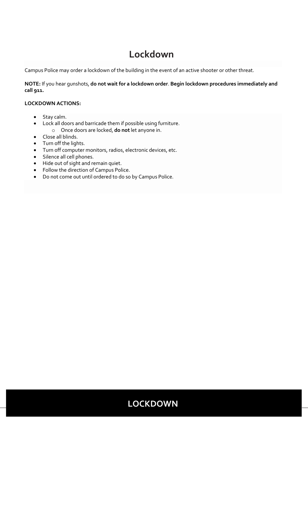# **Lockdown**

Campus Police may order a lockdown of the building in the event of an active shooter or other threat.

**NOTE:** If you hear gunshots, **do not wait for a lockdown order**. **Begin lockdown procedures immediately and call 911.**

#### **LOCKDOWN ACTIONS:**

- Stay calm.
- Lock all doors and barricade them if possible using furniture. o Once doors are locked, **do not** let anyone in.
- Close all blinds.
- Turn off the lights.
- Turn off computer monitors, radios, electronic devices, etc.
- Silence all cell phones.
- Hide out of sight and remain quiet.
- Follow the direction of Campus Police.
- Do not come out until ordered to do so by Campus Police.

### **LOCKDOWN**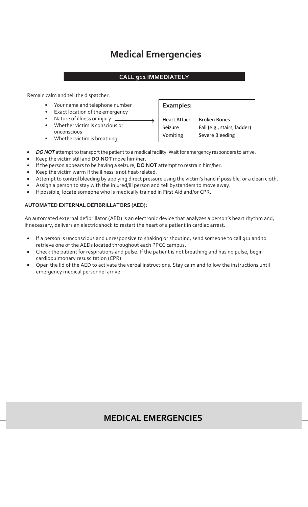# **Medical Emergencies**

#### **CALL 911 IMMEDIATELY**

Remain calm and tell the dispatcher:

- Your name and telephone number
- Exact location of the emergency
- Nature of illness or injury \_
- Whether victim is conscious or unconscious
- Whether victim is breathing

**Examples:** Heart Attack Broken Bones Seizure Fall (e.g., stairs, ladder) Vomiting Severe Bleeding

- *DO NOT* attempt to transport the patient to a medical facility. Wait for emergency responders to arrive.
- Keep the victim still and **DO NOT** move him/her.
- If the person appears to be having a seizure, **DO NOT** attempt to restrain him/her.
- Keep the victim warm if the illness is not heat-related.
- Attempt to control bleeding by applying direct pressure using the victim's hand if possible, or a clean cloth.
- Assign a person to stay with the injured/ill person and tell bystanders to move away.
- If possible, locate someone who is medically trained in First Aid and/or CPR.

#### **AUTOMATED EXTERNAL DEFIBRILLATORS (AED):**

An automated external defibrillator (AED) is an electronic device that analyzes a person's heart rhythm and, if necessary, delivers an electric shock to restart the heart of a patient in cardiac arrest.

- If a person is unconscious and unresponsive to shaking or shouting, send someone to call 911 and to retrieve one of the AEDs located throughout each PPCC campus.
- Check the patient for respirations and pulse. If the patient is not breathing and has no pulse, begin cardiopulmonary resuscitation (CPR).
- Open the lid of the AED to activate the verbal instructions. Stay calm and follow the instructions until emergency medical personnel arrive.

### **MEDICAL EMERGENCIES**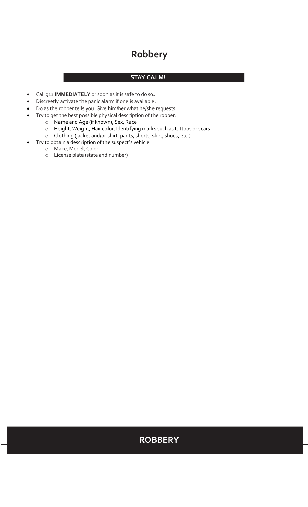# **Robbery**

#### **STAY CALM!**

- Call 911 **IMMEDIATELY** or soon as it is safe to do so**.**
- Discreetly activate the panic alarm if one is available.
- Do as the robber tells you. Give him/her what he/she requests.
- Try to get the best possible physical description of the robber:
	- o Name and Age (if known), Sex, Race
		- o Height, Weight, Hair color, Identifying marks such as tattoos or scars
	- o Clothing (jacket and/or shirt, pants, shorts, skirt, shoes, etc.)
	- Try to obtain a description of the suspect's vehicle:
		- o Make, Model, Color
		- o License plate (state and number)

### **ROBBERY**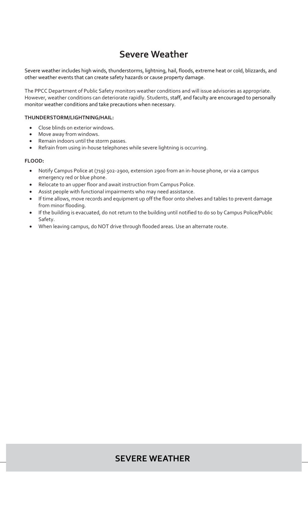# **Severe Weather**

Severe weather includes high winds, thunderstorms, lightning, hail, floods, extreme heat or cold, blizzards, and other weather events that can create safety hazards or cause property damage.

The PPCC Department of Public Safety monitors weather conditions and will issue advisories as appropriate. However, weather conditions can deteriorate rapidly. Students, staff, and faculty are encouraged to personally monitor weather conditions and take precautions when necessary.

#### **THUNDERSTORM/LIGHTNING/HAIL:**

- Close blinds on exterior windows.
- Move away from windows.
- Remain indoors until the storm passes.
- Refrain from using in-house telephones while severe lightning is occurring.

**FLOOD:**

- Notify Campus Police at (719) 502-2900, extension 2900 from an in-house phone, or via a campus emergency red or blue phone.
- Relocate to an upper floor and await instruction from Campus Police.
- Assist people with functional impairments who may need assistance.
- If time allows, move records and equipment up off the floor onto shelves and tables to prevent damage from minor flooding.
- If the building is evacuated, do not return to the building until notified to do so by Campus Police/Public Safety.
- When leaving campus, do NOT drive through flooded areas. Use an alternate route.

### **SEVERE WEATHER**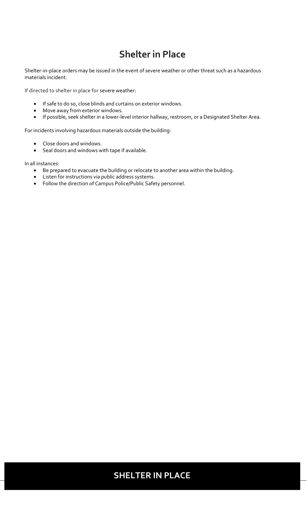# **Shelter in Place**

Shelter-in-place orders may be issued in the event of severe weather or other threat such as a hazardous materials incident.

If directed to shelter in place for severe weather:

- If safe to do so, close blinds and curtains on exterior windows.
- Move away from exterior windows.
- If possible, seek shelter in a lower-level interior hallway, restroom, or a Designated Shelter Area.

For incidents involving hazardous materials outside the building:

- Close doors and windows.
- Seal doors and windows with tape if available.

In all instances:

- Be prepared to evacuate the building or relocate to another area within the building.
- Listen for instructions via public address systems.
- Follow the direction of Campus Police/Public Safety personnel.

### **SHELTER IN PLACE**